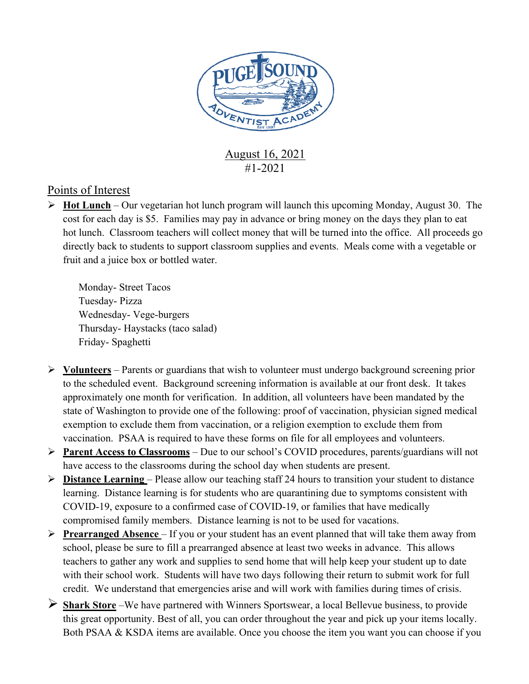

August 16, 2021 #1-2021

## Points of Interest

Ø **Hot Lunch** – Our vegetarian hot lunch program will launch this upcoming Monday, August 30. The cost for each day is \$5. Families may pay in advance or bring money on the days they plan to eat hot lunch. Classroom teachers will collect money that will be turned into the office. All proceeds go directly back to students to support classroom supplies and events. Meals come with a vegetable or fruit and a juice box or bottled water.

Monday- Street Tacos Tuesday- Pizza Wednesday- Vege-burgers Thursday- Haystacks (taco salad) Friday- Spaghetti

- Ø **Volunteers** Parents or guardians that wish to volunteer must undergo background screening prior to the scheduled event. Background screening information is available at our front desk. It takes approximately one month for verification. In addition, all volunteers have been mandated by the state of Washington to provide one of the following: proof of vaccination, physician signed medical exemption to exclude them from vaccination, or a religion exemption to exclude them from vaccination. PSAA is required to have these forms on file for all employees and volunteers.
- Ø **Parent Access to Classrooms** Due to our school's COVID procedures, parents/guardians will not have access to the classrooms during the school day when students are present.
- Ø **Distance Learning**  Please allow our teaching staff 24 hours to transition your student to distance learning. Distance learning is for students who are quarantining due to symptoms consistent with COVID-19, exposure to a confirmed case of COVID-19, or families that have medically compromised family members. Distance learning is not to be used for vacations.
- Ø **Prearranged Absence**  If you or your student has an event planned that will take them away from school, please be sure to fill a prearranged absence at least two weeks in advance. This allows teachers to gather any work and supplies to send home that will help keep your student up to date with their school work. Students will have two days following their return to submit work for full credit. We understand that emergencies arise and will work with families during times of crisis.
- Ø **Shark Store** –We have partnered with Winners Sportswear, a local Bellevue business, to provide this great opportunity. Best of all, you can order throughout the year and pick up your items locally. Both PSAA & KSDA items are available. Once you choose the item you want you can choose if you